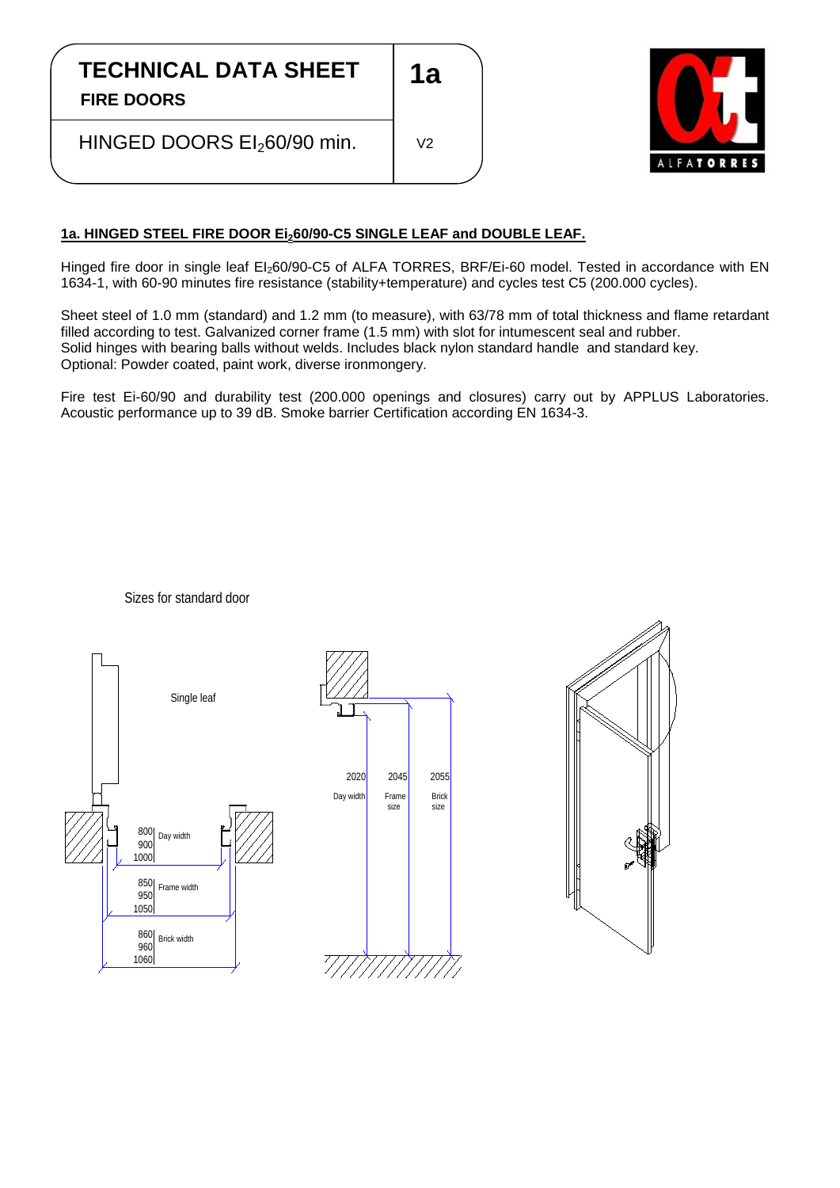## **TECHNICAL DATA SHEET**

**FIRE DOORS**

֖֖֖֖֖֚֚֚֚֚֚֬

HINGED DOORS EI<sub>2</sub>60/90 min.



## **1a. HINGED STEEL FIRE DOOR Ei260/90-C5 SINGLE LEAF and DOUBLE LEAF.**

Hinged fire door in single leaf EI<sub>2</sub>60/90-C5 of ALFA TORRES, BRF/Ei-60 model. Tested in accordance with EN 1634-1, with 60-90 minutes fire resistance (stability+temperature) and cycles test C5 (200.000 cycles).

**1a**

V2

Sheet steel of 1.0 mm (standard) and 1.2 mm (to measure), with 63/78 mm of total thickness and flame retardant filled according to test. Galvanized corner frame (1.5 mm) with slot for intumescent seal and rubber. Solid hinges with bearing balls without welds. Includes black nylon standard handle and standard key. Optional: Powder coated, paint work, diverse ironmongery.

Fire test Ei-60/90 and durability test (200.000 openings and closures) carry out by APPLUS Laboratories. Acoustic performance up to 39 dB. Smoke barrier Certification according EN 1634-3.





## Sizes for standard door